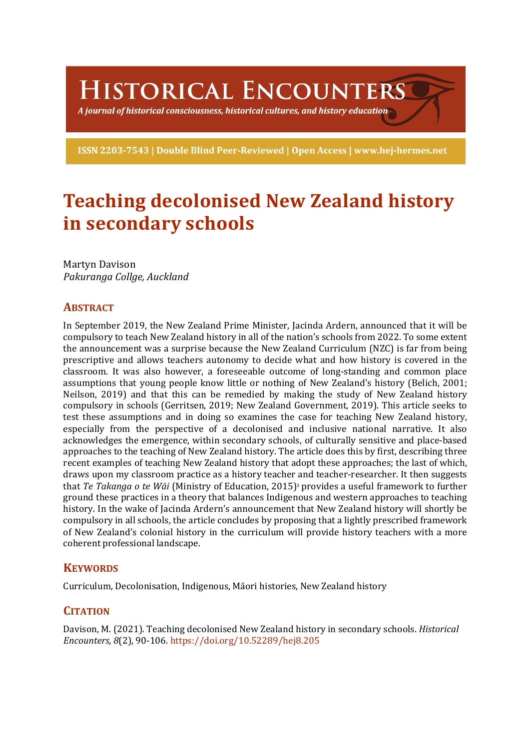HISTORICAL ENCOUNTERS

A journal of historical consciousness, historical cultures, and history education  $\geq$ 

ISSN 2203-7543 | Double Blind Peer-Reviewed | Open Access | www.hej-hermes.net

# **Teaching decolonised New Zealand history in secondary schools**

Martyn Davison *Pakuranga Collge, Auckland*

# **ABSTRACT**

In September 2019, the New Zealand Prime Minister, Jacinda Ardern, announced that it will be compulsory to teach New Zealand history in all of the nation's schools from 2022. To some extent the announcement was a surprise because the New Zealand Curriculum (NZC) is far from being prescriptive and allows teachers autonomy to decide what and how history is covered in the classroom. It was also however, a foreseeable outcome of long-standing and common place assumptions that young people know little or nothing of New Zealand's history (Belich, 2001; Neilson, 2019) and that this can be remedied by making the study of New Zealand history compulsory in schools (Gerritsen, 2019; New Zealand Government, 2019). This article seeks to test these assumptions and in doing so examines the case for teaching New Zealand history, especially from the perspective of a decolonised and inclusive national narrative. It also acknowledges the emergence, within secondary schools, of culturally sensitive and place-based approaches to the teaching of New Zealand history. The article does this by first, describing three recent examples of teaching New Zealand history that adopt these approaches; the last of which, draws upon my classroom practice as a history teacher and teacher-researcher. It then suggests that *Te Takanga o te Wāi* (Ministry of Education, 2015)<sup>1</sup> provides a useful framework to further ground these practices in a theory that balances Indigenous and western approaches to teaching history. In the wake of Jacinda Ardern's announcement that New Zealand history will shortly be compulsory in all schools, the article concludes by proposing that a lightly prescribed framework of New Zealand's colonial history in the curriculum will provide history teachers with a more coherent professional landscape.

# **KEYWORDS**

Curriculum, Decolonisation, Indigenous, Māori histories, New Zealand history

# **CITATION**

Davison, M. (2021). Teaching decolonised New Zealand history in secondary schools. *Historical Encounters, 8*(2), 90-106. https://doi.org/10.52289/hej8.205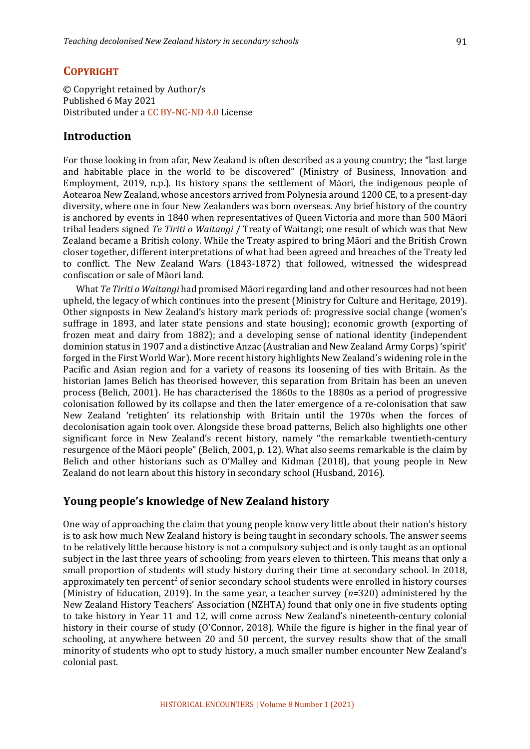#### **COPYRIGHT**

© Copyright retained by Author/s Published 6 May 2021 Distributed under a CC BY-NC-ND 4.0 License

#### **Introduction**

For those looking in from afar, New Zealand is often described as a young country; the "last large and habitable place in the world to be discovered" (Ministry of Business, Innovation and Employment, 2019, n.p.). Its history spans the settlement of Māori, the indigenous people of Aotearoa New Zealand, whose ancestors arrived from Polynesia around 1200 CE, to a present-day diversity, where one in four New Zealanders was born overseas. Any brief history of the country is anchored by events in 1840 when representatives of Queen Victoria and more than 500 Māori tribal leaders signed *Te Tiriti o Waitangi* / Treaty of Waitangi; one result of which was that New Zealand became a British colony. While the Treaty aspired to bring Māori and the British Crown closer together, different interpretations of what had been agreed and breaches of the Treaty led to conflict. The New Zealand Wars (1843-1872) that followed, witnessed the widespread confiscation or sale of Māori land.

What *Te Tiriti o Waitangi* had promised Māori regarding land and other resources had not been upheld, the legacy of which continues into the present (Ministry for Culture and Heritage, 2019). Other signposts in New Zealand's history mark periods of: progressive social change (women's suffrage in 1893, and later state pensions and state housing); economic growth (exporting of frozen meat and dairy from 1882); and a developing sense of national identity (independent dominion status in 1907 and a distinctive Anzac (Australian and New Zealand Army Corps) 'spirit' forged in the First World War). More recent history highlights New Zealand's widening role in the Pacific and Asian region and for a variety of reasons its loosening of ties with Britain. As the historian James Belich has theorised however, this separation from Britain has been an uneven process (Belich, 2001). He has characterised the 1860s to the 1880s as a period of progressive colonisation followed by its collapse and then the later emergence of a re-colonisation that saw New Zealand 'retighten' its relationship with Britain until the 1970s when the forces of decolonisation again took over. Alongside these broad patterns, Belich also highlights one other significant force in New Zealand's recent history, namely "the remarkable twentieth-century resurgence of the Māori people" (Belich, 2001, p. 12). What also seems remarkable is the claim by Belich and other historians such as  $O'M$ alley and Kidman  $(2018)$ , that young people in New Zealand do not learn about this history in secondary school (Husband, 2016).

#### **Young people's knowledge of New Zealand history**

One way of approaching the claim that young people know very little about their nation's history is to ask how much New Zealand history is being taught in secondary schools. The answer seems to be relatively little because history is not a compulsory subject and is only taught as an optional subject in the last three years of schooling; from years eleven to thirteen. This means that only a small proportion of students will study history during their time at secondary school. In 2018, approximately ten percent<sup>2</sup> of senior secondary school students were enrolled in history courses (Ministry of Education, 2019). In the same year, a teacher survey  $(n=320)$  administered by the New Zealand History Teachers' Association (NZHTA) found that only one in five students opting to take history in Year 11 and 12, will come across New Zealand's nineteenth-century colonial history in their course of study (O'Connor, 2018). While the figure is higher in the final year of schooling, at anywhere between 20 and 50 percent, the survey results show that of the small minority of students who opt to study history, a much smaller number encounter New Zealand's colonial past.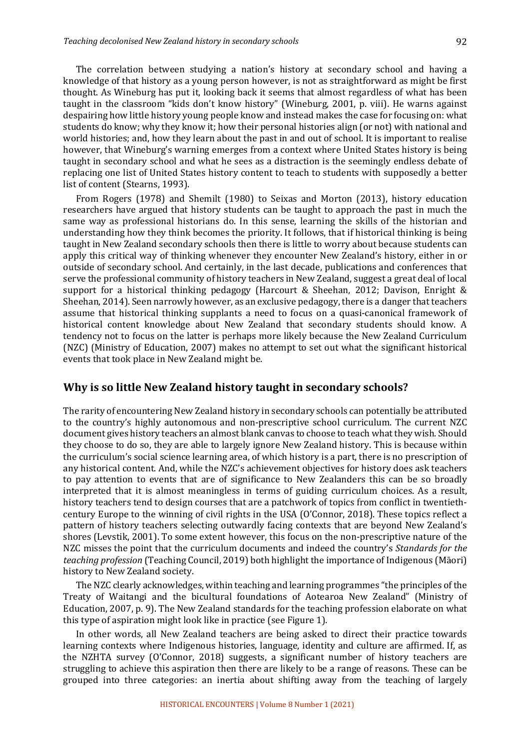The correlation between studying a nation's history at secondary school and having a knowledge of that history as a young person however, is not as straightforward as might be first thought. As Wineburg has put it, looking back it seems that almost regardless of what has been taught in the classroom "kids don't know history" (Wineburg, 2001, p. viii). He warns against despairing how little history young people know and instead makes the case for focusing on: what students do know; why they know it; how their personal histories align (or not) with national and world histories; and, how they learn about the past in and out of school. It is important to realise however, that Wineburg's warning emerges from a context where United States history is being taught in secondary school and what he sees as a distraction is the seemingly endless debate of replacing one list of United States history content to teach to students with supposedly a better list of content (Stearns, 1993).

From Rogers (1978) and Shemilt (1980) to Seixas and Morton (2013), history education researchers have argued that history students can be taught to approach the past in much the same way as professional historians do. In this sense, learning the skills of the historian and understanding how they think becomes the priority. It follows, that if historical thinking is being taught in New Zealand secondary schools then there is little to worry about because students can apply this critical way of thinking whenever they encounter New Zealand's history, either in or outside of secondary school. And certainly, in the last decade, publications and conferences that serve the professional community of history teachers in New Zealand, suggest a great deal of local support for a historical thinking pedagogy (Harcourt & Sheehan, 2012; Davison, Enright & Sheehan,  $2014$ ). Seen narrowly however, as an exclusive pedagogy, there is a danger that teachers assume that historical thinking supplants a need to focus on a quasi-canonical framework of historical content knowledge about New Zealand that secondary students should know. A tendency not to focus on the latter is perhaps more likely because the New Zealand Curriculum (NZC) (Ministry of Education, 2007) makes no attempt to set out what the significant historical events that took place in New Zealand might be.

#### **Why is so little New Zealand history taught in secondary schools?**

The rarity of encountering New Zealand history in secondary schools can potentially be attributed to the country's highly autonomous and non-prescriptive school curriculum. The current NZC document gives history teachers an almost blank canvas to choose to teach what they wish. Should they choose to do so, they are able to largely ignore New Zealand history. This is because within the curriculum's social science learning area, of which history is a part, there is no prescription of any historical content. And, while the NZC's achievement objectives for history does ask teachers to pay attention to events that are of significance to New Zealanders this can be so broadly interpreted that it is almost meaningless in terms of guiding curriculum choices. As a result, history teachers tend to design courses that are a patchwork of topics from conflict in twentiethcentury Europe to the winning of civil rights in the USA (O'Connor, 2018). These topics reflect a pattern of history teachers selecting outwardly facing contexts that are beyond New Zealand's shores (Levstik, 2001). To some extent however, this focus on the non-prescriptive nature of the NZC misses the point that the curriculum documents and indeed the country's *Standards for the teaching profession* (Teaching Council, 2019) both highlight the importance of Indigenous (Māori) history to New Zealand society.

The NZC clearly acknowledges, within teaching and learning programmes "the principles of the Treaty of Waitangi and the bicultural foundations of Aotearoa New Zealand" (Ministry of Education, 2007, p. 9). The New Zealand standards for the teaching profession elaborate on what this type of aspiration might look like in practice (see Figure 1).

In other words, all New Zealand teachers are being asked to direct their practice towards learning contexts where Indigenous histories, language, identity and culture are affirmed. If, as the NZHTA survey  $(0)$ 'Connor, 2018) suggests, a significant number of history teachers are struggling to achieve this aspiration then there are likely to be a range of reasons. These can be grouped into three categories: an inertia about shifting away from the teaching of largely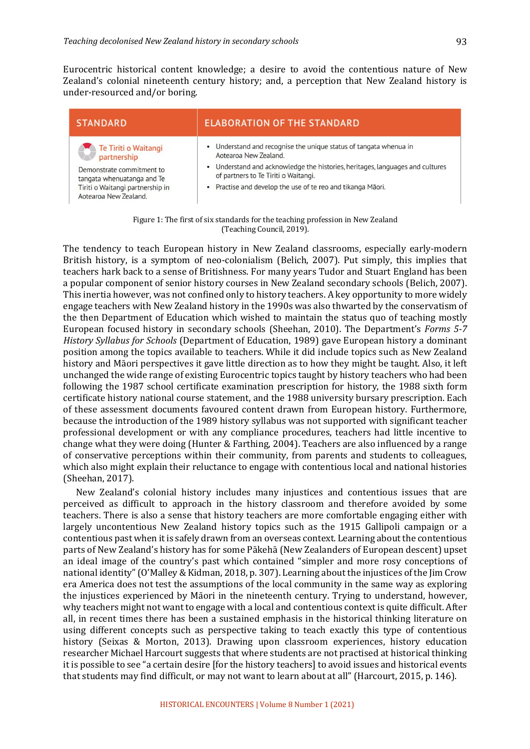Eurocentric historical content knowledge; a desire to avoid the contentious nature of New Zealand's colonial nineteenth century history; and, a perception that New Zealand history is under-resourced and/or boring.

| <b>STANDARD</b>                                                                                | <b>ELABORATION OF THE STANDARD</b>                                                                                    |  |
|------------------------------------------------------------------------------------------------|-----------------------------------------------------------------------------------------------------------------------|--|
| Te Tiriti o Waitangi<br>partnership<br>Demonstrate commitment to<br>tangata whenuatanga and Te | • Understand and recognise the unique status of tangata whenua in<br>Aotearoa New Zealand.                            |  |
|                                                                                                | • Understand and acknowledge the histories, heritages, languages and cultures<br>of partners to Te Tiriti o Waitangi. |  |
| Tiriti o Waitangi partnership in<br>Aotearoa New Zealand.                                      | • Practise and develop the use of te reo and tikanga Māori.                                                           |  |

Figure 1: The first of six standards for the teaching profession in New Zealand (Teaching Council, 2019).

The tendency to teach European history in New Zealand classrooms, especially early-modern British history, is a symptom of neo-colonialism (Belich, 2007). Put simply, this implies that teachers hark back to a sense of Britishness. For many years Tudor and Stuart England has been a popular component of senior history courses in New Zealand secondary schools (Belich, 2007). This inertia however, was not confined only to history teachers. A key opportunity to more widely engage teachers with New Zealand history in the 1990s was also thwarted by the conservatism of the then Department of Education which wished to maintain the status quo of teaching mostly European focused history in secondary schools (Sheehan, 2010). The Department's *Forms* 5-7 *History Syllabus for Schools* (Department of Education, 1989) gave European history a dominant position among the topics available to teachers. While it did include topics such as New Zealand history and Māori perspectives it gave little direction as to how they might be taught. Also, it left unchanged the wide range of existing Eurocentric topics taught by history teachers who had been following the 1987 school certificate examination prescription for history, the 1988 sixth form certificate history national course statement, and the 1988 university bursary prescription. Each of these assessment documents favoured content drawn from European history. Furthermore, because the introduction of the 1989 history syllabus was not supported with significant teacher professional development or with any compliance procedures, teachers had little incentive to change what they were doing (Hunter & Farthing, 2004). Teachers are also influenced by a range of conservative perceptions within their community, from parents and students to colleagues, which also might explain their reluctance to engage with contentious local and national histories (Sheehan, 2017).

New Zealand's colonial history includes many injustices and contentious issues that are perceived as difficult to approach in the history classroom and therefore avoided by some teachers. There is also a sense that history teachers are more comfortable engaging either with largely uncontentious New Zealand history topics such as the 1915 Gallipoli campaign or a contentious past when it is safely drawn from an overseas context. Learning about the contentious parts of New Zealand's history has for some Pākehā (New Zealanders of European descent) upset an ideal image of the country's past which contained "simpler and more rosy conceptions of national identity" (O'Malley & Kidman, 2018, p. 307). Learning about the injustices of the  $\lim$  Crow era America does not test the assumptions of the local community in the same way as exploring the injustices experienced by Māori in the nineteenth century. Trying to understand, however, why teachers might not want to engage with a local and contentious context is quite difficult. After all, in recent times there has been a sustained emphasis in the historical thinking literature on using different concepts such as perspective taking to teach exactly this type of contentious history (Seixas & Morton, 2013). Drawing upon classroom experiences, history education researcher Michael Harcourt suggests that where students are not practised at historical thinking it is possible to see "a certain desire [for the history teachers] to avoid issues and historical events that students may find difficult, or may not want to learn about at all" (Harcourt, 2015, p. 146).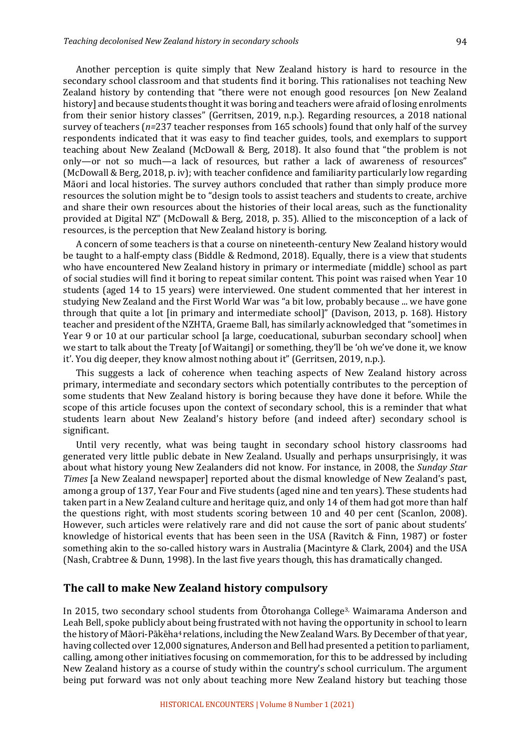Another perception is quite simply that New Zealand history is hard to resource in the secondary school classroom and that students find it boring. This rationalises not teaching New Zealand history by contending that "there were not enough good resources [on New Zealand history] and because students thought it was boring and teachers were afraid of losing enrolments from their senior history classes" (Gerritsen, 2019, n.p.). Regarding resources, a 2018 national survey of teachers  $(n=237 \text{ teacher responses from } 165 \text{ schools})$  found that only half of the survey respondents indicated that it was easy to find teacher guides, tools, and exemplars to support teaching about New Zealand (McDowall & Berg, 2018). It also found that "the problem is not only—or not so much—a lack of resources, but rather a lack of awareness of resources" (McDowall & Berg, 2018, p. iv); with teacher confidence and familiarity particularly low regarding Māori and local histories. The survey authors concluded that rather than simply produce more resources the solution might be to "design tools to assist teachers and students to create, archive and share their own resources about the histories of their local areas, such as the functionality provided at Digital NZ" (McDowall & Berg, 2018, p. 35). Allied to the misconception of a lack of resources, is the perception that New Zealand history is boring.

A concern of some teachers is that a course on nineteenth-century New Zealand history would be taught to a half-empty class (Biddle & Redmond, 2018). Equally, there is a view that students who have encountered New Zealand history in primary or intermediate (middle) school as part of social studies will find it boring to repeat similar content. This point was raised when Year 10 students (aged 14 to 15 years) were interviewed. One student commented that her interest in studying New Zealand and the First World War was "a bit low, probably because ... we have gone through that quite a lot [in primary and intermediate school]" (Davison, 2013, p. 168). History teacher and president of the NZHTA, Graeme Ball, has similarly acknowledged that "sometimes in Year 9 or 10 at our particular school [a large, coeducational, suburban secondary school] when we start to talk about the Treaty [of Waitangi] or something, they'll be 'oh we've done it, we know it'. You dig deeper, they know almost nothing about it" (Gerritsen, 2019, n.p.).

This suggests a lack of coherence when teaching aspects of New Zealand history across primary, intermediate and secondary sectors which potentially contributes to the perception of some students that New Zealand history is boring because they have done it before. While the scope of this article focuses upon the context of secondary school, this is a reminder that what students learn about New Zealand's history before (and indeed after) secondary school is significant. 

Until very recently, what was being taught in secondary school history classrooms had generated very little public debate in New Zealand. Usually and perhaps unsurprisingly, it was about what history young New Zealanders did not know. For instance, in 2008, the *Sunday Star Times* [a New Zealand newspaper] reported about the dismal knowledge of New Zealand's past, among a group of 137, Year Four and Five students (aged nine and ten years). These students had taken part in a New Zealand culture and heritage quiz, and only 14 of them had got more than half the questions right, with most students scoring between 10 and 40 per cent (Scanlon, 2008). However, such articles were relatively rare and did not cause the sort of panic about students' knowledge of historical events that has been seen in the USA (Ravitch & Finn, 1987) or foster something akin to the so-called history wars in Australia (Macintyre & Clark, 2004) and the USA (Nash, Crabtree & Dunn, 1998). In the last five years though, this has dramatically changed.

#### **The call to make New Zealand history compulsory**

In 2015, two secondary school students from Otorohanga College<sup>3,</sup> Waimarama Anderson and Leah Bell, spoke publicly about being frustrated with not having the opportunity in school to learn the history of Māori-Pākēha<sup>4</sup> relations, including the New Zealand Wars. By December of that year, having collected over 12,000 signatures, Anderson and Bell had presented a petition to parliament, calling, among other initiatives focusing on commemoration, for this to be addressed by including New Zealand history as a course of study within the country's school curriculum. The argument being put forward was not only about teaching more New Zealand history but teaching those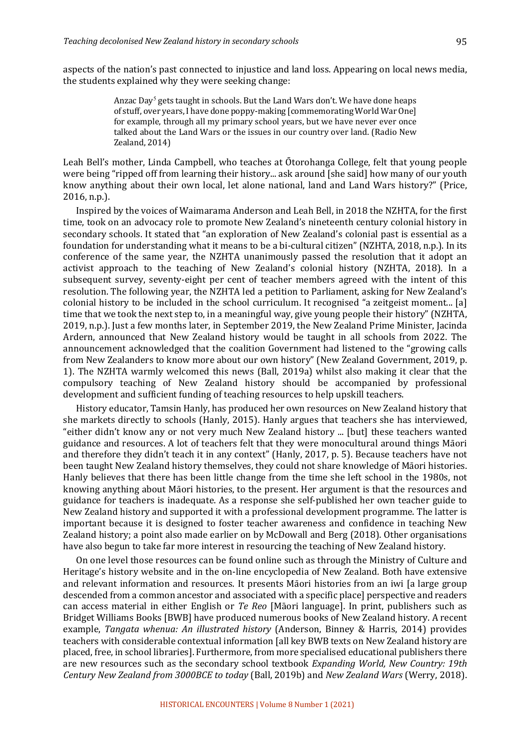aspects of the nation's past connected to injustice and land loss. Appearing on local news media, the students explained why they were seeking change:

> Anzac Day<sup>5</sup> gets taught in schools. But the Land Wars don't. We have done heaps of stuff, over years, I have done poppy-making [commemorating World War One] for example, through all my primary school years, but we have never ever once talked about the Land Wars or the issues in our country over land. (Radio New Zealand, 2014)

Leah Bell's mother, Linda Campbell, who teaches at Otorohanga College, felt that young people were being "ripped off from learning their history... ask around [she said] how many of our youth know anything about their own local, let alone national, land and Land Wars history?" (Price,  $2016$ , n.p.).

Inspired by the voices of Waimarama Anderson and Leah Bell, in 2018 the NZHTA, for the first time, took on an advocacy role to promote New Zealand's nineteenth century colonial history in secondary schools. It stated that "an exploration of New Zealand's colonial past is essential as a foundation for understanding what it means to be a bi-cultural citizen" (NZHTA, 2018, n.p.). In its conference of the same year, the NZHTA unanimously passed the resolution that it adopt an activist approach to the teaching of New Zealand's colonial history (NZHTA, 2018). In a subsequent survey, seventy-eight per cent of teacher members agreed with the intent of this resolution. The following year, the NZHTA led a petition to Parliament, asking for New Zealand's colonial history to be included in the school curriculum. It recognised "a zeitgeist moment... [a] time that we took the next step to, in a meaningful way, give young people their history" (NZHTA, 2019, n.p.). Just a few months later, in September 2019, the New Zealand Prime Minister, Jacinda Ardern, announced that New Zealand history would be taught in all schools from 2022. The announcement acknowledged that the coalition Government had listened to the "growing calls" from New Zealanders to know more about our own history" (New Zealand Government, 2019, p. 1). The NZHTA warmly welcomed this news (Ball, 2019a) whilst also making it clear that the compulsory teaching of New Zealand history should be accompanied by professional development and sufficient funding of teaching resources to help upskill teachers.

History educator, Tamsin Hanly, has produced her own resources on New Zealand history that she markets directly to schools (Hanly, 2015). Hanly argues that teachers she has interviewed, "either didn't know any or not very much New Zealand history ... [but] these teachers wanted guidance and resources. A lot of teachers felt that they were monocultural around things Māori and therefore they didn't teach it in any context" (Hanly, 2017, p. 5). Because teachers have not been taught New Zealand history themselves, they could not share knowledge of Māori histories. Hanly believes that there has been little change from the time she left school in the 1980s, not knowing anything about Māori histories, to the present. Her argument is that the resources and guidance for teachers is inadequate. As a response she self-published her own teacher guide to New Zealand history and supported it with a professional development programme. The latter is important because it is designed to foster teacher awareness and confidence in teaching New Zealand history; a point also made earlier on by McDowall and Berg (2018). Other organisations have also begun to take far more interest in resourcing the teaching of New Zealand history.

On one level those resources can be found online such as through the Ministry of Culture and Heritage's history website and in the on-line encyclopedia of New Zealand. Both have extensive and relevant information and resources. It presents Māori histories from an iwi [a large group descended from a common ancestor and associated with a specific place] perspective and readers can access material in either English or *Te Reo* [Māori language]. In print, publishers such as Bridget Williams Books [BWB] have produced numerous books of New Zealand history. A recent example, *Tangata whenua: An illustrated history* (Anderson, Binney & Harris, 2014) provides teachers with considerable contextual information [all key BWB texts on New Zealand history are placed, free, in school libraries]. Furthermore, from more specialised educational publishers there are new resources such as the secondary school textbook *Expanding World, New Country:* 19th *Century New Zealand from 3000BCE to today* (Ball, 2019b) and *New Zealand Wars* (Werry, 2018).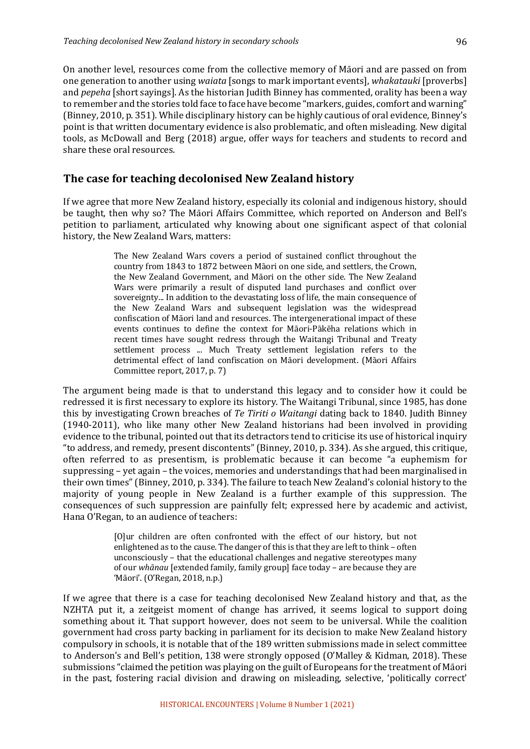On another level, resources come from the collective memory of Māori and are passed on from one generation to another using *waiata* [songs to mark important events], *whakatauki* [proverbs] and *pepeha* [short sayings]. As the historian Judith Binney has commented, orality has been a way to remember and the stories told face to face have become "markers, guides, comfort and warning" (Binney, 2010, p. 351). While disciplinary history can be highly cautious of oral evidence, Binney's point is that written documentary evidence is also problematic, and often misleading. New digital tools, as McDowall and Berg (2018) argue, offer ways for teachers and students to record and share these oral resources.

#### **The case for teaching decolonised New Zealand history**

If we agree that more New Zealand history, especially its colonial and indigenous history, should be taught, then why so? The Māori Affairs Committee, which reported on Anderson and Bell's petition to parliament, articulated why knowing about one significant aspect of that colonial history, the New Zealand Wars, matters:

> The New Zealand Wars covers a period of sustained conflict throughout the country from 1843 to 1872 between Māori on one side, and settlers, the Crown, the New Zealand Government, and Māori on the other side. The New Zealand Wars were primarily a result of disputed land purchases and conflict over sovereignty... In addition to the devastating loss of life, the main consequence of the New Zealand Wars and subsequent legislation was the widespread confiscation of Māori land and resources. The intergenerational impact of these events continues to define the context for Māori-Pākēha relations which in recent times have sought redress through the Waitangi Tribunal and Treaty settlement process ... Much Treaty settlement legislation refers to the detrimental effect of land confiscation on Māori development. (Māori Affairs Committee report, 2017, p. 7)

The argument being made is that to understand this legacy and to consider how it could be redressed it is first necessary to explore its history. The Waitangi Tribunal, since 1985, has done this by investigating Crown breaches of *Te Tiriti o Waitangi* dating back to 1840. Judith Binney (1940-2011), who like many other New Zealand historians had been involved in providing evidence to the tribunal, pointed out that its detractors tend to criticise its use of historical inquiry "to address, and remedy, present discontents" (Binney, 2010, p. 334). As she argued, this critique, often referred to as presentism, is problematic because it can become "a euphemism for suppressing - yet again - the voices, memories and understandings that had been marginalised in their own times" (Binney, 2010, p. 334). The failure to teach New Zealand's colonial history to the majority of young people in New Zealand is a further example of this suppression. The consequences of such suppression are painfully felt; expressed here by academic and activist, Hana O'Regan, to an audience of teachers:

> [O]ur children are often confronted with the effect of our history, but not enlightened as to the cause. The danger of this is that they are left to think – often unconsciously - that the educational challenges and negative stereotypes many of our whanau [extended family, family group] face today - are because they are 'Māori'. (O'Regan, 2018, n.p.)

If we agree that there is a case for teaching decolonised New Zealand history and that, as the NZHTA put it, a zeitgeist moment of change has arrived, it seems logical to support doing something about it. That support however, does not seem to be universal. While the coalition government had cross party backing in parliament for its decision to make New Zealand history compulsory in schools, it is notable that of the 189 written submissions made in select committee to Anderson's and Bell's petition, 138 were strongly opposed (O'Malley & Kidman, 2018). These submissions "claimed the petition was playing on the guilt of Europeans for the treatment of Māori in the past, fostering racial division and drawing on misleading, selective, 'politically correct'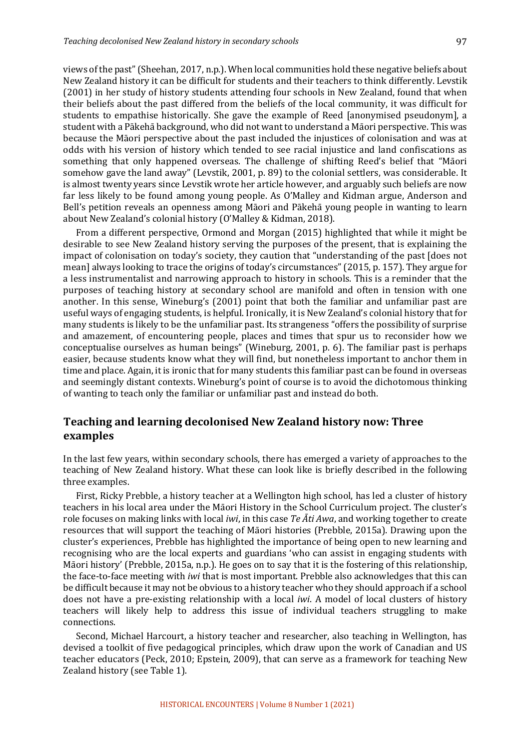views of the past" (Sheehan, 2017, n.p.). When local communities hold these negative beliefs about New Zealand history it can be difficult for students and their teachers to think differently. Levstik (2001) in her study of history students attending four schools in New Zealand, found that when their beliefs about the past differed from the beliefs of the local community, it was difficult for students to empathise historically. She gave the example of Reed [anonymised pseudonym], a student with a Pākehā background, who did not want to understand a Māori perspective. This was because the Māori perspective about the past included the injustices of colonisation and was at odds with his version of history which tended to see racial injustice and land confiscations as something that only happened overseas. The challenge of shifting Reed's belief that "Māori somehow gave the land away" (Levstik, 2001, p. 89) to the colonial settlers, was considerable. It is almost twenty years since Levstik wrote her article however, and arguably such beliefs are now far less likely to be found among young people. As O'Malley and Kidman argue, Anderson and Bell's petition reveals an openness among Māori and Pākehā young people in wanting to learn about New Zealand's colonial history (O'Malley & Kidman, 2018).

From a different perspective, Ormond and Morgan (2015) highlighted that while it might be desirable to see New Zealand history serving the purposes of the present, that is explaining the impact of colonisation on today's society, they caution that "understanding of the past [does not mean] always looking to trace the origins of today's circumstances" (2015, p. 157). They argue for a less instrumentalist and narrowing approach to history in schools. This is a reminder that the purposes of teaching history at secondary school are manifold and often in tension with one another. In this sense, Wineburg's (2001) point that both the familiar and unfamiliar past are useful ways of engaging students, is helpful. Ironically, it is New Zealand's colonial history that for many students is likely to be the unfamiliar past. Its strangeness "offers the possibility of surprise and amazement, of encountering people, places and times that spur us to reconsider how we conceptualise ourselves as human beings" (Wineburg, 2001, p. 6). The familiar past is perhaps easier, because students know what they will find, but nonetheless important to anchor them in time and place. Again, it is ironic that for many students this familiar past can be found in overseas and seemingly distant contexts. Wineburg's point of course is to avoid the dichotomous thinking of wanting to teach only the familiar or unfamiliar past and instead do both.

### **Teaching and learning decolonised New Zealand history now: Three examples**

In the last few years, within secondary schools, there has emerged a variety of approaches to the teaching of New Zealand history. What these can look like is briefly described in the following three examples.

First, Ricky Prebble, a history teacher at a Wellington high school, has led a cluster of history teachers in his local area under the Māori History in the School Curriculum project. The cluster's role focuses on making links with local *iwi*, in this case *Te*  $\overline{Ati}$  *Awa*, and working together to create resources that will support the teaching of Māori histories (Prebble, 2015a). Drawing upon the cluster's experiences, Prebble has highlighted the importance of being open to new learning and recognising who are the local experts and guardians 'who can assist in engaging students with Māori history' (Prebble, 2015a, n.p.). He goes on to say that it is the fostering of this relationship, the face-to-face meeting with *iwi* that is most important. Prebble also acknowledges that this can be difficult because it may not be obvious to a history teacher who they should approach if a school does not have a pre-existing relationship with a local *iwi*. A model of local clusters of history teachers will likely help to address this issue of individual teachers struggling to make connections. 

Second, Michael Harcourt, a history teacher and researcher, also teaching in Wellington, has devised a toolkit of five pedagogical principles, which draw upon the work of Canadian and US teacher educators (Peck, 2010; Epstein, 2009), that can serve as a framework for teaching New Zealand history (see Table 1).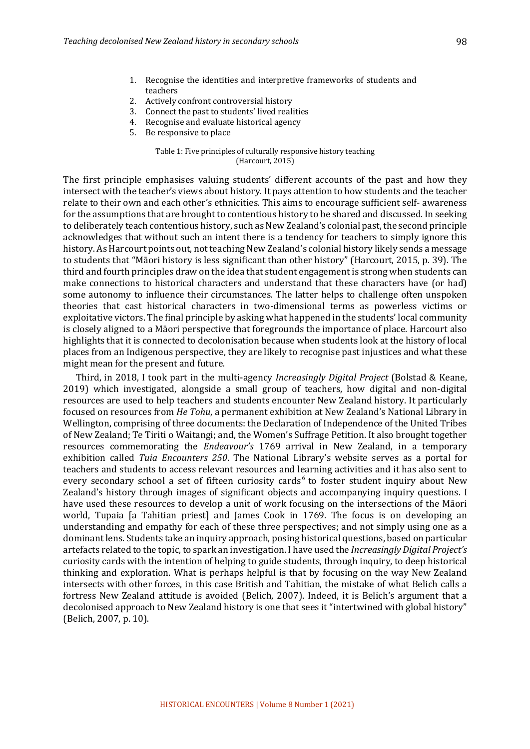- 1. Recognise the identities and interpretive frameworks of students and teachers
- 2. Actively confront controversial history
- 3. Connect the past to students' lived realities
- 4. Recognise and evaluate historical agency
- 5. Be responsive to place

#### Table 1: Five principles of culturally responsive history teaching  $(Harcourt, 2015)$

The first principle emphasises valuing students' different accounts of the past and how they intersect with the teacher's views about history. It pays attention to how students and the teacher relate to their own and each other's ethnicities. This aims to encourage sufficient self- awareness for the assumptions that are brought to contentious history to be shared and discussed. In seeking to deliberately teach contentious history, such as New Zealand's colonial past, the second principle acknowledges that without such an intent there is a tendency for teachers to simply ignore this history. As Harcourt points out, not teaching New Zealand's colonial history likely sends a message to students that "Māori history is less significant than other history" (Harcourt, 2015, p. 39). The third and fourth principles draw on the idea that student engagement is strong when students can make connections to historical characters and understand that these characters have (or had) some autonomy to influence their circumstances. The latter helps to challenge often unspoken theories that cast historical characters in two-dimensional terms as powerless victims or exploitative victors. The final principle by asking what happened in the students' local community is closely aligned to a Māori perspective that foregrounds the importance of place. Harcourt also highlights that it is connected to decolonisation because when students look at the history of local places from an Indigenous perspective, they are likely to recognise past injustices and what these might mean for the present and future.

Third, in 2018, I took part in the multi-agency *Increasingly Digital Project* (Bolstad & Keane, 2019) which investigated, alongside a small group of teachers, how digital and non-digital resources are used to help teachers and students encounter New Zealand history. It particularly focused on resources from *He Tohu*, a permanent exhibition at New Zealand's National Library in Wellington, comprising of three documents: the Declaration of Independence of the United Tribes of New Zealand; Te Tiriti o Waitangi; and, the Women's Suffrage Petition. It also brought together resources commemorating the *Endeavour's* 1769 arrival in New Zealand, in a temporary exhibition called *Tuia Encounters 250*. The National Library's website serves as a portal for teachers and students to access relevant resources and learning activities and it has also sent to every secondary school a set of fifteen curiosity cards<sup>6</sup> to foster student inquiry about New Zealand's history through images of significant objects and accompanying inquiry questions. I have used these resources to develop a unit of work focusing on the intersections of the Māori world, Tupaia [a Tahitian priest] and James Cook in 1769. The focus is on developing an understanding and empathy for each of these three perspectives; and not simply using one as a dominant lens. Students take an inquiry approach, posing historical questions, based on particular artefacts related to the topic, to spark an investigation. I have used the *Increasingly Digital Project's* curiosity cards with the intention of helping to guide students, through inquiry, to deep historical thinking and exploration. What is perhaps helpful is that by focusing on the way New Zealand intersects with other forces, in this case British and Tahitian, the mistake of what Belich calls a fortress New Zealand attitude is avoided (Belich, 2007). Indeed, it is Belich's argument that a decolonised approach to New Zealand history is one that sees it "intertwined with global history" (Belich, 2007, p. 10).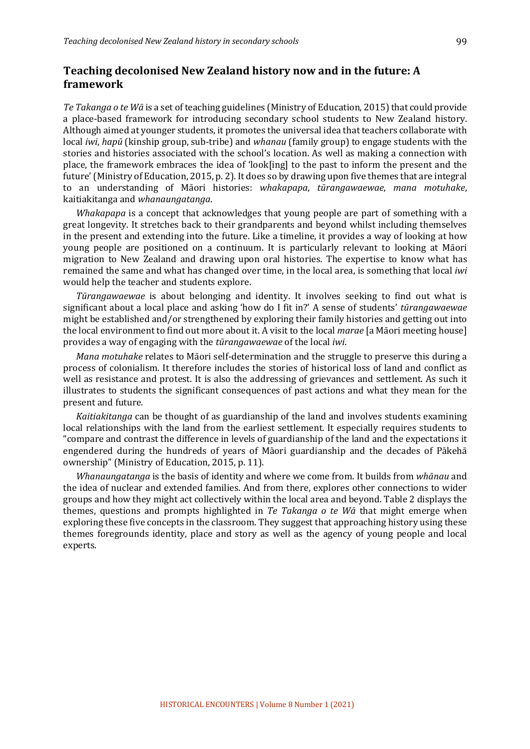# **Teaching decolonised New Zealand history now and in the future: A framework**

*Te* Takanga o te *W* $\bar{a}$  is a set of teaching guidelines (Ministry of Education, 2015) that could provide a place-based framework for introducing secondary school students to New Zealand history. Although aimed at younger students, it promotes the universal idea that teachers collaborate with local *iwi*, *hapū* (kinship group, sub-tribe) and *whanau* (family group) to engage students with the stories and histories associated with the school's location. As well as making a connection with place, the framework embraces the idea of 'look[ing] to the past to inform the present and the future' (Ministry of Education, 2015, p. 2). It does so by drawing upon five themes that are integral to an understanding of Māori histories: *whakapapa*, *tūrangawaewae*, *mana motuhake*, kaitiakitanga and *whanaungatanga*. 

*Whakapapa* is a concept that acknowledges that young people are part of something with a great longevity. It stretches back to their grandparents and beyond whilst including themselves in the present and extending into the future. Like a timeline, it provides a way of looking at how young people are positioned on a continuum. It is particularly relevant to looking at Māori migration to New Zealand and drawing upon oral histories. The expertise to know what has remained the same and what has changed over time, in the local area, is something that local *iwi* would help the teacher and students explore.

*Tūrangawaewae* is about belonging and identity. It involves seeking to find out what is significant about a local place and asking 'how do I fit in?' A sense of students' *tūrangawaewae* might be established and/or strengthened by exploring their family histories and getting out into the local environment to find out more about it. A visit to the local *marae* [a Māori meeting house] provides a way of engaging with the *tūrangawaewae* of the local *iwi*.

*Mana motuhake* relates to Māori self-determination and the struggle to preserve this during a process of colonialism. It therefore includes the stories of historical loss of land and conflict as well as resistance and protest. It is also the addressing of grievances and settlement. As such it illustrates to students the significant consequences of past actions and what they mean for the present and future.

*Kaitiakitanga* can be thought of as guardianship of the land and involves students examining local relationships with the land from the earliest settlement. It especially requires students to "compare and contrast the difference in levels of guardianship of the land and the expectations it engendered during the hundreds of years of Māori guardianship and the decades of Pākehā ownership" (Ministry of Education, 2015, p. 11).

*Whanaungatanga* is the basis of identity and where we come from. It builds from *whānau* and the idea of nuclear and extended families. And from there, explores other connections to wider groups and how they might act collectively within the local area and beyond. Table 2 displays the themes, questions and prompts highlighted in *Te Takanga o te Wa* that might emerge when exploring these five concepts in the classroom. They suggest that approaching history using these themes foregrounds identity, place and story as well as the agency of young people and local experts.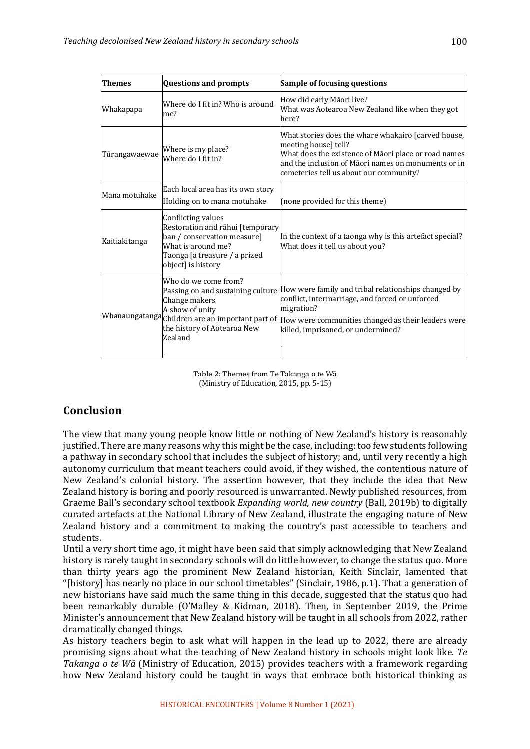| <b>Themes</b> | <b>Questions and prompts</b>                                                                                                                                       | Sample of focusing questions                                                                                                                                                                                                                                                                        |
|---------------|--------------------------------------------------------------------------------------------------------------------------------------------------------------------|-----------------------------------------------------------------------------------------------------------------------------------------------------------------------------------------------------------------------------------------------------------------------------------------------------|
| Whakapapa     | Where do I fit in? Who is around<br>me?                                                                                                                            | How did early Māori live?<br>What was Aotearoa New Zealand like when they got<br>here?                                                                                                                                                                                                              |
| Tūrangawaewae | Where is my place?<br>Where do I fit in?                                                                                                                           | What stories does the whare whakairo [carved house,<br>meeting house] tell?<br>What does the existence of Māori place or road names<br>and the inclusion of Māori names on monuments or in<br>cemeteries tell us about our community?                                                               |
| Mana motuhake | Each local area has its own story<br>Holding on to mana motuhake                                                                                                   | (none provided for this theme)                                                                                                                                                                                                                                                                      |
| Kaitiakitanga | Conflicting values<br>Restoration and rāhui [temporary<br>ban / conservation measure]<br>What is around me?<br>Taonga [a treasure / a prized<br>object] is history | In the context of a taonga why is this artefact special?<br>What does it tell us about you?                                                                                                                                                                                                         |
|               | Who do we come from?<br>Change makers<br>A show of unity<br>the history of Aotearoa New<br>Zealand                                                                 | Passing on and sustaining culture How were family and tribal relationships changed by<br>conflict, intermarriage, and forced or unforced<br>migration?<br>Whanaungatanga Children are an important part of How were communities changed as their leaders were<br>killed, imprisoned, or undermined? |

Table 2: Themes from Te Takanga o te Wā (Ministry of Education, 2015, pp. 5-15)

# **Conclusion**

The view that many young people know little or nothing of New Zealand's history is reasonably justified. There are many reasons why this might be the case, including: too few students following a pathway in secondary school that includes the subject of history; and, until very recently a high autonomy curriculum that meant teachers could avoid, if they wished, the contentious nature of New Zealand's colonial history. The assertion however, that they include the idea that New Zealand history is boring and poorly resourced is unwarranted. Newly published resources, from Graeme Ball's secondary school textbook *Expanding world, new country* (Ball, 2019b) to digitally curated artefacts at the National Library of New Zealand, illustrate the engaging nature of New Zealand history and a commitment to making the country's past accessible to teachers and students. 

Until a very short time ago, it might have been said that simply acknowledging that New Zealand history is rarely taught in secondary schools will do little however, to change the status quo. More than thirty years ago the prominent New Zealand historian, Keith Sinclair, lamented that "[history] has nearly no place in our school timetables" (Sinclair, 1986, p.1). That a generation of new historians have said much the same thing in this decade, suggested that the status quo had been remarkably durable (O'Malley & Kidman, 2018). Then, in September 2019, the Prime Minister's announcement that New Zealand history will be taught in all schools from 2022, rather dramatically changed things.

As history teachers begin to ask what will happen in the lead up to 2022, there are already promising signs about what the teaching of New Zealand history in schools might look like. Te *Takanga o te Wā* (Ministry of Education, 2015) provides teachers with a framework regarding how New Zealand history could be taught in ways that embrace both historical thinking as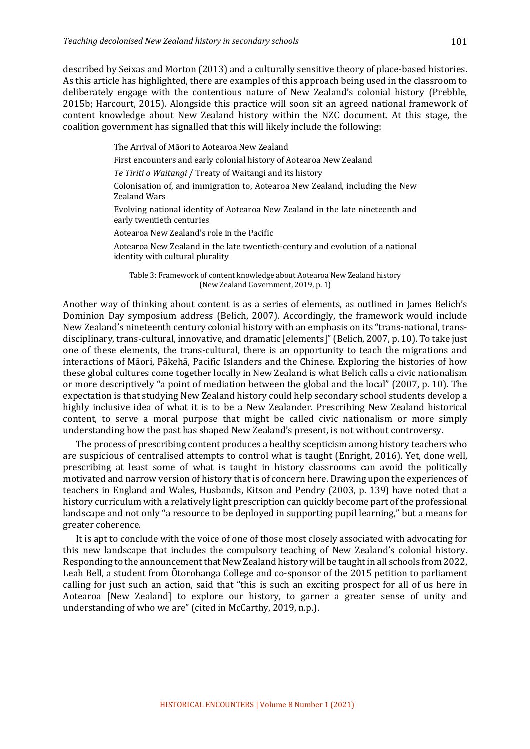described by Seixas and Morton (2013) and a culturally sensitive theory of place-based histories. As this article has highlighted, there are examples of this approach being used in the classroom to deliberately engage with the contentious nature of New Zealand's colonial history (Prebble, 2015b; Harcourt, 2015). Alongside this practice will soon sit an agreed national framework of content knowledge about New Zealand history within the NZC document. At this stage, the coalition government has signalled that this will likely include the following:

The Arrival of Māori to Aotearoa New Zealand

First encounters and early colonial history of Aotearoa New Zealand

Te Tiriti o Waitangi / Treaty of Waitangi and its history

Colonisation of, and immigration to, Aotearoa New Zealand, including the New **Zealand Wars** 

Evolving national identity of Aotearoa New Zealand in the late nineteenth and early twentieth centuries

Aotearoa New Zealand's role in the Pacific

Aotearoa New Zealand in the late twentieth-century and evolution of a national identity with cultural plurality

Table 3: Framework of content knowledge about Aotearoa New Zealand history (New Zealand Government, 2019, p. 1)

Another way of thinking about content is as a series of elements, as outlined in James Belich's Dominion Day symposium address (Belich, 2007). Accordingly, the framework would include New Zealand's nineteenth century colonial history with an emphasis on its "trans-national, transdisciplinary, trans-cultural, innovative, and dramatic [elements]" (Belich, 2007, p. 10). To take just one of these elements, the trans-cultural, there is an opportunity to teach the migrations and interactions of Māori, Pākehā, Pacific Islanders and the Chinese. Exploring the histories of how these global cultures come together locally in New Zealand is what Belich calls a civic nationalism or more descriptively "a point of mediation between the global and the local" (2007, p. 10). The expectation is that studying New Zealand history could help secondary school students develop a highly inclusive idea of what it is to be a New Zealander. Prescribing New Zealand historical content, to serve a moral purpose that might be called civic nationalism or more simply understanding how the past has shaped New Zealand's present, is not without controversy.

The process of prescribing content produces a healthy scepticism among history teachers who are suspicious of centralised attempts to control what is taught (Enright, 2016). Yet, done well, prescribing at least some of what is taught in history classrooms can avoid the politically motivated and narrow version of history that is of concern here. Drawing upon the experiences of teachers in England and Wales, Husbands, Kitson and Pendry (2003, p. 139) have noted that a history curriculum with a relatively light prescription can quickly become part of the professional landscape and not only "a resource to be deployed in supporting pupil learning," but a means for greater coherence.

It is apt to conclude with the voice of one of those most closely associated with advocating for this new landscape that includes the compulsory teaching of New Zealand's colonial history. Responding to the announcement that New Zealand history will be taught in all schools from 2022, Leah Bell, a student from Otorohanga College and co-sponsor of the 2015 petition to parliament calling for just such an action, said that "this is such an exciting prospect for all of us here in Aotearoa [New Zealand] to explore our history, to garner a greater sense of unity and understanding of who we are" (cited in McCarthy, 2019, n.p.).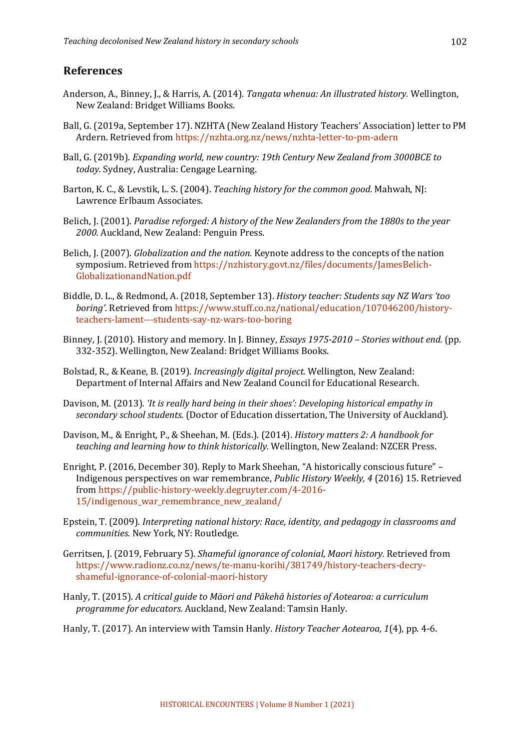#### **References**

- Anderson, A., Binney, J., & Harris, A. (2014). *Tangata whenua: An illustrated history.* Wellington, New Zealand: Bridget Williams Books.
- Ball, G. (2019a, September 17). NZHTA (New Zealand History Teachers' Association) letter to PM Ardern. Retrieved from https://nzhta.org.nz/news/nzhta-letter-to-pm-adern
- Ball, G. (2019b). *Expanding world, new country: 19th Century New Zealand from 3000BCE to* today. Sydney, Australia: Cengage Learning.
- Barton, K. C., & Levstik, L. S. (2004). *Teaching history for the common good*. Mahwah, NJ: Lawrence Erlbaum Associates.
- Belich, J. (2001). *Paradise reforged: A history of the New Zealanders from the 1880s to the year* 2000. Auckland, New Zealand: Penguin Press.
- Belich, J. (2007). *Globalization and the nation.* Keynote address to the concepts of the nation symposium. Retrieved from https://nzhistory.govt.nz/files/documents/JamesBelich-GlobalizationandNation.pdf
- Biddle, D. L., & Redmond, A. (2018, September 13). *History teacher: Students say NZ Wars 'too boring'*. Retrieved from https://www.stuff.co.nz/national/education/107046200/historyteachers-lament---students-say-nz-wars-too-boring
- Binney, J. (2010). History and memory. In J. Binney, *Essays* 1975-2010 *Stories without end.* (pp. 332-352). Wellington, New Zealand: Bridget Williams Books.
- Bolstad, R., & Keane, B. (2019). *Increasingly digital project*. Wellington, New Zealand: Department of Internal Affairs and New Zealand Council for Educational Research.
- Davison, M. (2013). *'It is really hard being in their shoes': Developing historical empathy in* secondary school students. (Doctor of Education dissertation, The University of Auckland).
- Davison, M., & Enright, P., & Sheehan, M. (Eds.). (2014). *History matters 2: A handbook for teaching and learning how to think historically.* Wellington, New Zealand: NZCER Press.
- Enright, P. (2016, December 30). Reply to Mark Sheehan, "A historically conscious future" Indigenous perspectives on war remembrance, *Public History Weekly, 4* (2016) 15. Retrieved from https://public-history-weekly.degruyter.com/4-2016-15/indigenous\_war\_remembrance\_new\_zealand/
- Epstein, T. (2009). *Interpreting national history: Race, identity, and pedagogy in classrooms and communities.* New York, NY: Routledge.
- Gerritsen, J. (2019, February 5). *Shameful ignorance of colonial, Maori history.* Retrieved from https://www.radionz.co.nz/news/te-manu-korihi/381749/history-teachers-decryshameful-ignorance-of-colonial-maori-history
- Hanly, T. (2015). A critical guide to Māori and Pākehā histories of Aotearoa: a curriculum *programme for educators.* Auckland, New Zealand: Tamsin Hanly.
- Hanly, T. (2017). An interview with Tamsin Hanly. *History Teacher Aotearoa*, 1(4), pp. 4-6.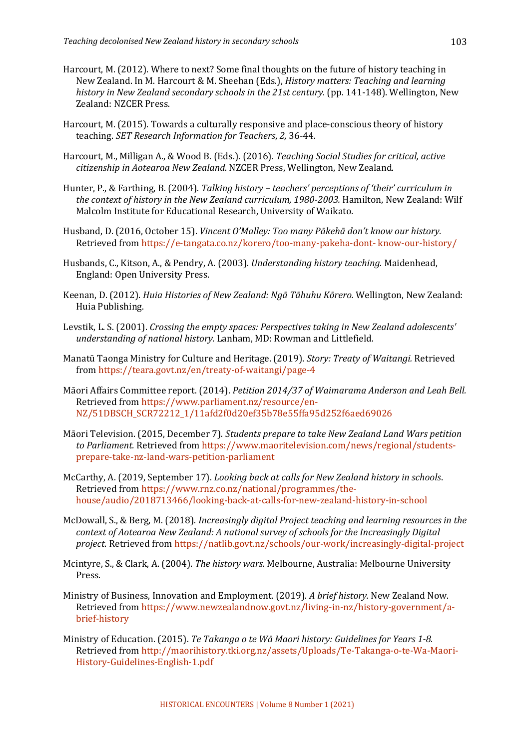- Harcourt, M. (2012). Where to next? Some final thoughts on the future of history teaching in New Zealand. In M. Harcourt & M. Sheehan (Eds.), *History matters: Teaching and learning* history in New Zealand secondary schools in the 21st century. (pp. 141-148). Wellington, New Zealand: NZCER Press.
- Harcourt, M. (2015). Towards a culturally responsive and place-conscious theory of history teaching. *SET Research Information for Teachers*, 2, 36-44.
- Harcourt, M., Milligan A., & Wood B. (Eds.). (2016). *Teaching Social Studies for critical, active* citizenship in Aotearoa New Zealand. NZCER Press, Wellington, New Zealand.
- Hunter, P., & Farthing, B. (2004). *Talking history teachers' perceptions of 'their' curriculum in* the context of history in the New Zealand curriculum, 1980-2003. Hamilton, New Zealand: Wilf Malcolm Institute for Educational Research, University of Waikato.
- Husband, D. (2016, October 15). *Vincent O'Malley: Too many Pākehā don't know our history.* Retrieved from https://e-tangata.co.nz/korero/too-many-pakeha-dont- know-our-history/
- Husbands, C., Kitson, A., & Pendry, A. (2003). *Understanding history teaching*. Maidenhead, England: Open University Press.
- Keenan, D. (2012). *Huia Histories of New Zealand: Ngā Tāhuhu Kōrero.* Wellington, New Zealand: Huia Publishing.
- Levstik. L. S. (2001). *Crossing the empty spaces: Perspectives taking in New Zealand adolescents' understanding of national history.* Lanham, MD: Rowman and Littlefield.
- Manatū Taonga Ministry for Culture and Heritage. (2019). *Story: Treaty of Waitangi.* Retrieved from https://teara.govt.nz/en/treaty-of-waitangi/page-4
- Māori Affairs Committee report. (2014). *Petition 2014/37 of Waimarama Anderson and Leah Bell.* Retrieved from https://www.parliament.nz/resource/en-NZ/51DBSCH\_SCR72212\_1/11afd2f0d20ef35b78e55ffa95d252f6aed69026
- Māori Television. (2015. December 7). *Students prepare to take New Zealand Land Wars petition* to Parliament. Retrieved from https://www.maoritelevision.com/news/regional/studentsprepare-take-nz-land-wars-petition-parliament
- McCarthy, A. (2019, September 17). *Looking back at calls for New Zealand history in schools.* Retrieved from https://www.rnz.co.nz/national/programmes/thehouse/audio/2018713466/looking-back-at-calls-for-new-zealand-history-in-school
- McDowall, S., & Berg, M. (2018). *Increasingly digital Project teaching and learning resources in the context of Aotearoa New Zealand: A national survey of schools for the Increasingly Digital project*. Retrieved from https://natlib.govt.nz/schools/our-work/increasingly-digital-project
- Mcintyre, S., & Clark, A. (2004). *The history wars.* Melbourne, Australia: Melbourne University Press.
- Ministry of Business, Innovation and Employment. (2019). *A brief history*. New Zealand Now. Retrieved from https://www.newzealandnow.govt.nz/living-in-nz/history-government/abrief-history
- Ministry of Education. (2015). *Te Takanga o te Wā Maori history: Guidelines for Years 1-8.* Retrieved from http://maorihistory.tki.org.nz/assets/Uploads/Te-Takanga-o-te-Wa-Maori-History-Guidelines-English-1.pdf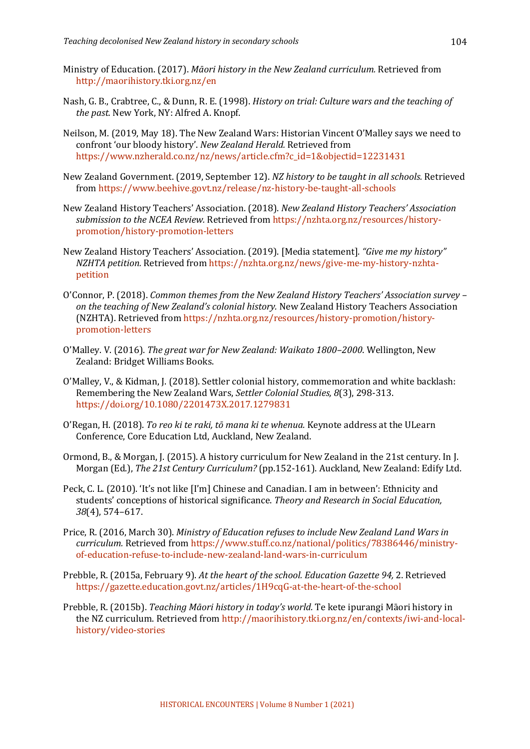- Ministry of Education. (2017). *Māori history in the New Zealand curriculum.* Retrieved from http://maorihistory.tki.org.nz/en
- Nash, G. B., Crabtree, C., & Dunn, R. E. (1998). *History on trial: Culture wars and the teaching of the past.* New York, NY: Alfred A. Knopf.
- Neilson, M. (2019, May 18). The New Zealand Wars: Historian Vincent O'Malley says we need to confront 'our bloody history'. *New Zealand Herald.* Retrieved from https://www.nzherald.co.nz/nz/news/article.cfm?c\_id=1&objectid=12231431
- New Zealand Government. (2019, September 12). *NZ history to be taught in all schools.* Retrieved from https://www.beehive.govt.nz/release/nz-history-be-taught-all-schools
- New Zealand History Teachers' Association. (2018). *New Zealand History Teachers' Association* submission to the NCEA Review. Retrieved from https://nzhta.org.nz/resources/historypromotion/history-promotion-letters
- New Zealand History Teachers' Association. (2019). [Media statement]. "Give me my history" *NZHTA petition.* Retrieved from https://nzhta.org.nz/news/give-me-my-history-nzhtapetition
- O'Connor, P. (2018). *Common themes from the New Zealand History Teachers' Association survey* on the teaching of New Zealand's colonial history. New Zealand History Teachers Association (NZHTA). Retrieved from https://nzhta.org.nz/resources/history-promotion/historypromotion-letters
- O'Malley. V. (2016). *The great war for New Zealand: Waikato 1800–2000*. Wellington, New Zealand: Bridget Williams Books.
- O'Malley, V., & Kidman, J. (2018). Settler colonial history, commemoration and white backlash: Remembering the New Zealand Wars, *Settler Colonial Studies, 8*(3), 298-313. https://doi.org/10.1080/2201473X.2017.1279831
- O'Regan, H. (2018). *To reo ki te raki, tō mana ki te whenua.* Keynote address at the ULearn Conference, Core Education Ltd, Auckland, New Zealand.
- Ormond, B., & Morgan, J. (2015). A history curriculum for New Zealand in the 21st century. In J. Morgan (Ed.), The 21st Century Curriculum? (pp.152-161). Auckland, New Zealand: Edify Ltd.
- Peck, C. L. (2010). 'It's not like [I'm] Chinese and Canadian. I am in between': Ethnicity and students' conceptions of historical significance. *Theory and Research in Social Education*, *38*(4), 574–617.
- Price, R. (2016, March 30). *Ministry of Education refuses to include New Zealand Land Wars in curriculum.* Retrieved from https://www.stuff.co.nz/national/politics/78386446/ministryof-education-refuse-to-include-new-zealand-land-wars-in-curriculum
- Prebble, R. (2015a, February 9). At the heart of the school. Education Gazette 94, 2. Retrieved https://gazette.education.govt.nz/articles/1H9cqG-at-the-heart-of-the-school
- Prebble, R. (2015b). *Teaching Māori history in today's world*. Te kete ipurangi Māori history in the NZ curriculum. Retrieved from http://maorihistory.tki.org.nz/en/contexts/iwi-and-localhistory/video-stories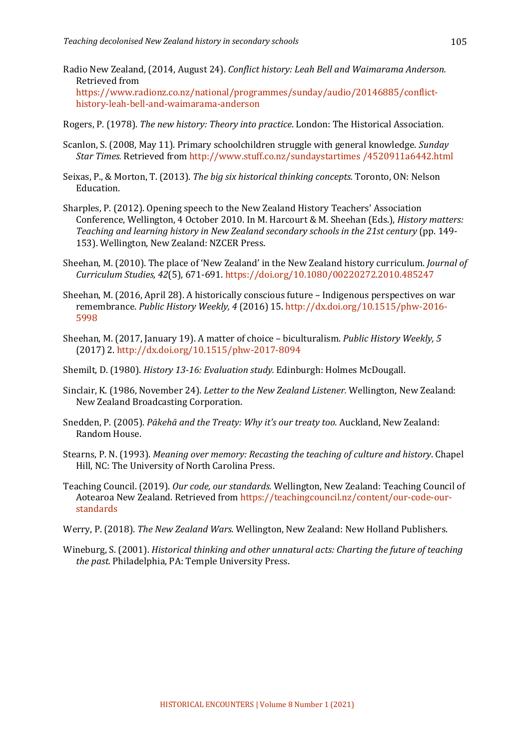- Radio New Zealand, (2014, August 24). *Conflict history: Leah Bell and Waimarama Anderson.* Retrieved from https://www.radionz.co.nz/national/programmes/sunday/audio/20146885/conflicthistory-leah-bell-and-waimarama-anderson
- Rogers, P. (1978). *The new history: Theory into practice*. London: The Historical Association.
- Scanlon, S. (2008, May 11). Primary schoolchildren struggle with general knowledge. *Sunday Star Times.* Retrieved from http://www.stuff.co.nz/sundaystartimes /4520911a6442.html
- Seixas, P., & Morton, T. (2013). *The big six historical thinking concepts.* Toronto, ON: Nelson Education.
- Sharples, P. (2012). Opening speech to the New Zealand History Teachers' Association Conference, Wellington, 4 October 2010. In M. Harcourt & M. Sheehan (Eds.), *History matters:* Teaching and learning history in New Zealand secondary schools in the 21st century (pp. 149-153). Wellington, New Zealand: NZCER Press.
- Sheehan, M. (2010). The place of 'New Zealand' in the New Zealand history curriculum. *Journal of Curriculum Studies, 42*(5), 671-691. https://doi.org/10.1080/00220272.2010.485247
- Sheehan, M. (2016, April 28). A historically conscious future Indigenous perspectives on war remembrance. *Public History Weekly, 4* (2016) 15. http://dx.doi.org/10.1515/phw-2016- 5998
- Sheehan, M. (2017, January 19). A matter of choice biculturalism. *Public History Weekly*, 5 (2017) 2. http://dx.doi.org/10.1515/phw-2017-8094
- Shemilt, D. (1980). *History 13-16: Evaluation study.* Edinburgh: Holmes McDougall.
- Sinclair, K. (1986, November 24). *Letter to the New Zealand Listener.* Wellington, New Zealand: New Zealand Broadcasting Corporation.
- Snedden, P. (2005). *Pākehā and the Treaty: Why it's our treaty too.* Auckland, New Zealand: Random House.
- Stearns, P. N. (1993). *Meaning over memory: Recasting the teaching of culture and history*. Chapel Hill, NC: The University of North Carolina Press.
- Teaching Council. (2019). *Our code, our standards.* Wellington, New Zealand: Teaching Council of Aotearoa New Zealand. Retrieved from https://teachingcouncil.nz/content/our-code-ourstandards
- Werry, P. (2018). *The New Zealand Wars.* Wellington, New Zealand: New Holland Publishers.
- Wineburg, S. (2001). *Historical thinking and other unnatural acts: Charting the future of teaching the past.* Philadelphia, PA: Temple University Press.